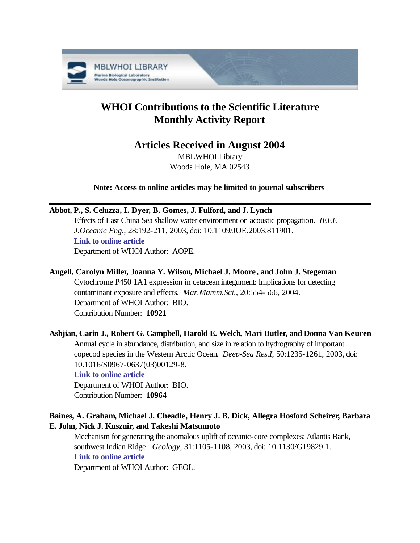

# **WHOI Contributions to the Scientific Literature Monthly Activity Report**

# **Articles Received in August 2004**

MBLWHOI Library Woods Hole, MA 02543

**Note: Access to online articles may be limited to journal subscribers**

**Abbot, P., S. Celuzza, I. Dyer, B. Gomes, J. Fulford, and J. Lynch**

Effects of East China Sea shallow water environment on acoustic propagation. *IEEE J.Oceanic Eng.*, 28:192-211, 2003, doi: 10.1109/JOE.2003.811901. **[Link to online article](http://dx.doi.org/10.1109/JOE.2003.811901)** Department of WHOI Author: AOPE.

# **Angell, Carolyn Miller, Joanna Y. Wilson, Michael J. Moore , and John J. Stegeman**

Cytochrome P450 1A1 expression in cetacean integument: Implications for detecting contaminant exposure and effects. *Mar.Mamm.Sci.*, 20:554-566, 2004. Department of WHOI Author: BIO. Contribution Number: **10921**

# **Ashjian, Carin J., Robert G. Campbell, Harold E. Welch, Mari Butler, and Donna Van Keuren** Annual cycle in abundance, distribution, and size in relation to hydrography of important copecod species in the Western Arctic Ocean. *Deep-Sea Res.I*, 50:1235-1261, 2003, doi: 10.1016/S0967-0637(03)00129-8.

# **[Link to online article](http://dx.doi.org/10.1016/S0967-0637(03)00129-8)**

Department of WHOI Author: BIO. Contribution Number: **10964**

# **Baines, A. Graham, Michael J. Cheadle, Henry J. B. Dick, Allegra Hosford Scheirer, Barbara E. John, Nick J. Kusznir, and Takeshi Matsumoto**

Mechanism for generating the anomalous uplift of oceanic-core complexes: Atlantis Bank, southwest Indian Ridge. *Geology*, 31:1105-1108, 2003, doi: 10.1130/G19829.1. **[Link to online article](http://dx.doi.org/10.1130/G19829.1)**

Department of WHOI Author: GEOL.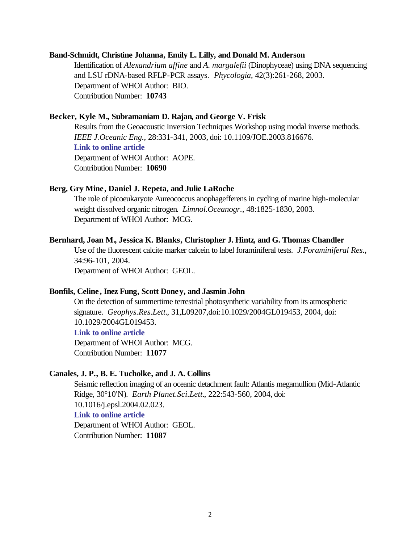## **Band-Schmidt, Christine Johanna, Emily L. Lilly, and Donald M. Anderson**

Identification of *Alexandrium affine* and *A. margalefii* (Dinophyceae) using DNA sequencing and LSU rDNA-based RFLP-PCR assays. *Phycologia*, 42(3):261-268, 2003. Department of WHOI Author: BIO. Contribution Number: **10743**

# **Becker, Kyle M., Subramaniam D. Rajan, and George V. Frisk**

Results from the Geoacoustic Inversion Techniques Workshop using modal inverse methods. *IEEE J.Oceanic Eng.*, 28:331-341, 2003, doi: 10.1109/JOE.2003.816676. **[Link to online article](http://dx.doi.org/10.1109/JOE.2003.816676)** Department of WHOI Author: AOPE. Contribution Number: **10690**

## **Berg, Gry Mine, Daniel J. Repeta, and Julie LaRoche**

The role of picoeukaryote Aureococcus anophagefferens in cycling of marine high-molecular weight dissolved organic nitrogen. *Limnol.Oceanogr.*, 48:1825-1830, 2003. Department of WHOI Author: MCG.

# **Bernhard, Joan M., Jessica K. Blanks, Christopher J. Hintz, and G. Thomas Chandler**

Use of the fluorescent calcite marker calcein to label foraminiferal tests. *J.Foraminiferal Res.*, 34:96-101, 2004. Department of WHOI Author: GEOL.

# **Bonfils, Celine, Inez Fung, Scott Doney, and Jasmin John**

On the detection of summertime terrestrial photosynthetic variability from its atmospheric signature. *Geophys.Res.Lett.*, 31,L09207,doi:10.1029/2004GL019453, 2004, doi: 10.1029/2004GL019453.

#### **[Link to online article](http://dx.doi.org/10.1029/2004GL019453)**

Department of WHOI Author: MCG. Contribution Number: **11077**

#### **Canales, J. P., B. E. Tucholke, and J. A. Collins**

Seismic reflection imaging of an oceanic detachment fault: Atlantis megamullion (Mid-Atlantic Ridge, 30°10'N). *Earth Planet.Sci.Lett.*, 222:543-560, 2004, doi: 10.1016/j.epsl.2004.02.023. **[Link to online article](http://dx.doi.org/10.1016/j.epsl.2004.02.023)** Department of WHOI Author: GEOL. Contribution Number: **11087**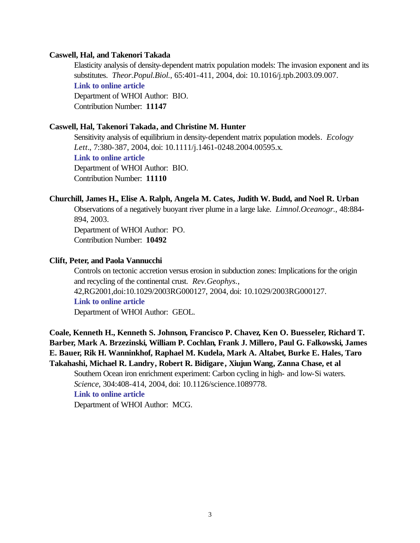#### **Caswell, Hal, and Takenori Takada**

Elasticity analysis of density-dependent matrix population models: The invasion exponent and its substitutes. *Theor.Popul.Biol.*, 65:401-411, 2004, doi: 10.1016/j.tpb.2003.09.007. **[Link to online article](http://dx.doi.org/10.1016/j.tpb.2003.09.007)** Department of WHOI Author: BIO. Contribution Number: **11147**

#### **Caswell, Hal, Takenori Takada, and Christine M. Hunter**

Sensitivity analysis of equilibrium in density-dependent matrix population models. *Ecology Lett.*, 7:380-387, 2004, doi: 10.1111/j.1461-0248.2004.00595.x. **[Link to online article](http://dx.doi.org/10.1111/j.1461-0248.2004.00595.x)** Department of WHOI Author: BIO. Contribution Number: **11110**

#### **Churchill, James H., Elise A. Ralph, Angela M. Cates, Judith W. Budd, and Noel R. Urban**

Observations of a negatively buoyant river plume in a large lake. *Limnol.Oceanogr.*, 48:884- 894, 2003.

Department of WHOI Author: PO. Contribution Number: **10492**

#### **Clift, Peter, and Paola Vannucchi**

Controls on tectonic accretion versus erosion in subduction zones: Implications for the origin and recycling of the continental crust. *Rev.Geophys.*, 42,RG2001,doi:10.1029/2003RG000127, 2004, doi: 10.1029/2003RG000127. **[Link to online article](http://dx.doi.org/10.1029/2003RG000127)** Department of WHOI Author: GEOL.

**Coale, Kenneth H., Kenneth S. Johnson, Francisco P. Chavez, Ken O. Buesseler, Richard T. Barber, Mark A. Brzezinski, William P. Cochlan, Frank J. Millero, Paul G. Falkowski, James E. Bauer, Rik H. Wanninkhof, Raphael M. Kudela, Mark A. Altabet, Burke E. Hales, Taro Takahashi, Michael R. Landry, Robert R. Bidigare, Xiujun Wang, Zanna Chase, et al** Southern Ocean iron enrichment experiment: Carbon cycling in high- and low-Si waters. *Science*, 304:408-414, 2004, doi: 10.1126/science.1089778. **[Link to online article](http://dx.doi.org/10.1126/science.1089778)** Department of WHOI Author: MCG.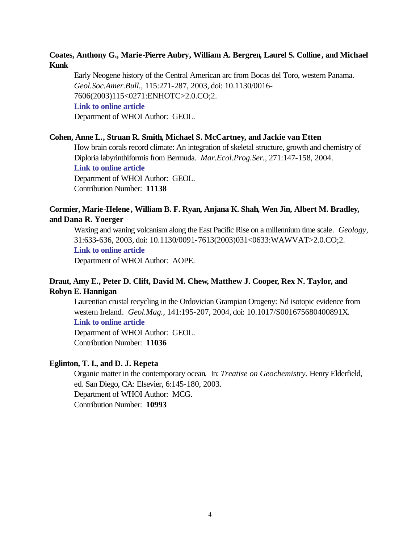# **Coates, Anthony G., Marie-Pierre Aubry, William A. Bergren, Laurel S. Colline, and Michael Kunk**

Early Neogene history of the Central American arc from Bocas del Toro, western Panama. *Geol.Soc.Amer.Bull.*, 115:271-287, 2003, doi: 10.1130/0016- 7606(2003)115<0271:ENHOTC>2.0.CO;2. **[Link to online article](http://dx.doi.org/10.1130/0016-7606(2003)115<0271:ENHOTC>2.0.CO;2)** Department of WHOI Author: GEOL.

#### **Cohen, Anne L., Struan R. Smith, Michael S. McCartney, and Jackie van Etten**

How brain corals record climate: An integration of skeletal structure, growth and chemistry of Diploria labyrinthiformis from Bermuda. *Mar.Ecol.Prog.Ser.*, 271:147-158, 2004. **[Link to online article](http://www.int-res.com/articles/meps2004/271/m271p147.pdf)** Department of WHOI Author: GEOL. Contribution Number: **11138**

# **Cormier, Marie-Helene , William B. F. Ryan, Anjana K. Shah, Wen Jin, Albert M. Bradley, and Dana R. Yoerger**

Waxing and waning volcanism along the East Pacific Rise on a millennium time scale. *Geology*, 31:633-636, 2003, doi: 10.1130/0091-7613(2003)031<0633:WAWVAT>2.0.CO;2.

# **[Link to online article](http://dx.doi.org/10.1130/0091-7613(2003)031<0633:WAWVAT>2.0.CO;2)**

Department of WHOI Author: AOPE.

# **Draut, Amy E., Peter D. Clift, David M. Chew, Matthew J. Cooper, Rex N. Taylor, and Robyn E. Hannigan**

Laurentian crustal recycling in the Ordovician Grampian Orogeny: Nd isotopic evidence from western Ireland. *Geol.Mag.*, 141:195-207, 2004, doi: 10.1017/S001675680400891X. **[Link to online article](http://dx.doi.org/10.1017/S001675680400891X)**

Department of WHOI Author: GEOL. Contribution Number: **11036**

#### **Eglinton, T. I., and D. J. Repeta**

Organic matter in the contemporary ocean. In: *Treatise on Geochemistry.* Henry Elderfield, ed. San Diego, CA: Elsevier, 6:145-180, 2003. Department of WHOI Author: MCG. Contribution Number: **10993**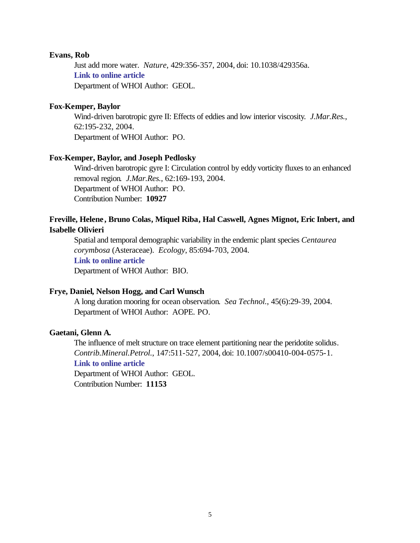### **Evans, Rob**

Just add more water. *Nature*, 429:356-357, 2004, doi: 10.1038/429356a. **[Link to online article](http://dx.doi.org/10.1038/429356a)** Department of WHOI Author: GEOL.

### **Fox-Kemper, Baylor**

Wind-driven barotropic gyre II: Effects of eddies and low interior viscosity. *J.Mar.Res.*, 62:195-232, 2004. Department of WHOI Author: PO.

# **Fox-Kemper, Baylor, and Joseph Pedlosky**

Wind-driven barotropic gyre I: Circulation control by eddy vorticity fluxes to an enhanced removal region. *J.Mar.Res.*, 62:169-193, 2004. Department of WHOI Author: PO. Contribution Number: **10927**

# **Freville, Helene , Bruno Colas, Miquel Riba, Hal Caswell, Agnes Mignot, Eric Inbert, and Isabelle Olivieri**

Spatial and temporal demographic variability in the endemic plant species *Centaurea corymbosa* (Asteraceae). *Ecology*, 85:694-703, 2004. **[Link to online article](http://www.esajournals.org/pdfserv/i0012-9658-085-03-0694.pdf)**

# Department of WHOI Author: BIO.

# **Frye, Daniel, Nelson Hogg, and Carl Wunsch**

A long duration mooring for ocean observation. *Sea Technol.*, 45(6):29-39, 2004. Department of WHOI Author: AOPE. PO.

#### **Gaetani, Glenn A.**

The influence of melt structure on trace element partitioning near the peridotite solidus. *Contrib.Mineral.Petrol.*, 147:511-527, 2004, doi: 10.1007/s00410-004-0575-1.

# **[Link to online article](http://dx.doi.org/10.1007/s00410-004-0575-1)**

Department of WHOI Author: GEOL. Contribution Number: **11153**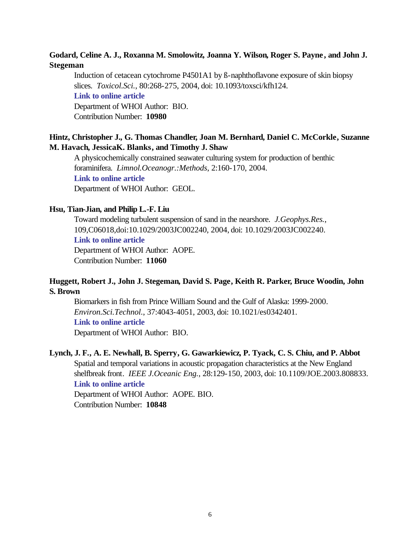# **Godard, Celine A. J., Roxanna M. Smolowitz, Joanna Y. Wilson, Roger S. Payne , and John J. Stegeman**

Induction of cetacean cytochrome P4501A1 by ß-naphthoflavone exposure of skin biopsy slices. *Toxicol.Sci.*, 80:268-275, 2004, doi: 10.1093/toxsci/kfh124. **[Link to online article](http://dx.doi.org/10.1093/toxsci/kfh124)** Department of WHOI Author: BIO. Contribution Number: **10980**

# **Hintz, Christopher J., G. Thomas Chandler, Joan M. Bernhard, Daniel C. McCorkle, Suzanne M. Havach, JessicaK. Blanks, and Timothy J. Shaw**

A physicochemically constrained seawater culturing system for production of benthic foraminifera. *Limnol.Oceanogr.:Methods*, 2:160-170, 2004. **[Link to online article](http://www.aslo.org/lomethods/free/2004/0160.pdf)** Department of WHOI Author: GEOL.

# **Hsu, Tian-Jian, and Philip L.-F. Liu**

Toward modeling turbulent suspension of sand in the nearshore. *J.Geophys.Res.*, 109,C06018,doi:10.1029/2003JC002240, 2004, doi: 10.1029/2003JC002240. **[Link to online article](http://dx.doi.org/10.1029/2003JC002240)** Department of WHOI Author: AOPE. Contribution Number: **11060**

# **Huggett, Robert J., John J. Stegeman, David S. Page, Keith R. Parker, Bruce Woodin, John S. Brown**

Biomarkers in fish from Prince William Sound and the Gulf of Alaska: 1999-2000. *Environ.Sci.Technol.*, 37:4043-4051, 2003, doi: 10.1021/es0342401. **[Link to online article](http://dx.doi.org/10.1021/es0342401)**

Department of WHOI Author: BIO.

# **Lynch, J. F., A. E. Newhall, B. Sperry, G. Gawarkiewicz, P. Tyack, C. S. Chiu, and P. Abbot**

Spatial and temporal variations in acoustic propagation characteristics at the New England shelfbreak front. *IEEE J.Oceanic Eng.*, 28:129-150, 2003, doi: 10.1109/JOE.2003.808833. **[Link to online article](http://dx.doi.org/10.1109/JOE.2003.808833)**

Department of WHOI Author: AOPE. BIO. Contribution Number: **10848**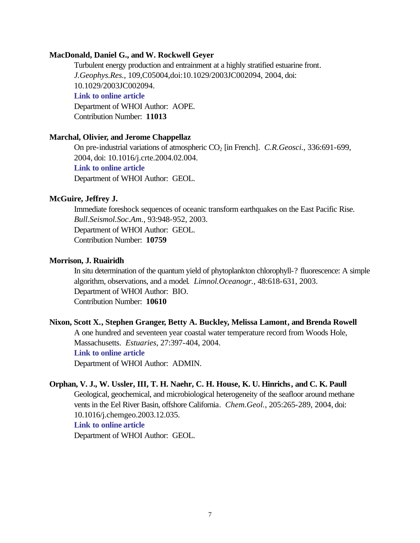## **MacDonald, Daniel G., and W. Rockwell Geyer**

Turbulent energy production and entrainment at a highly stratified estuarine front. *J.Geophys.Res.*, 109,C05004,doi:10.1029/2003JC002094, 2004, doi: 10.1029/2003JC002094. **[Link to online article](http://dx.doi.org/10.1029/2003JC002094)** Department of WHOI Author: AOPE.

Contribution Number: **11013**

#### **Marchal, Olivier, and Jerome Chappellaz**

On pre-industrial variations of atmospheric CO<sub>2</sub> [in French]. *C.R.Geosci.*, 336:691-699, 2004, doi: 10.1016/j.crte.2004.02.004. **[Link to online article](http://dx.doi.org/10.1016/j.crte.2004.02.004)** Department of WHOI Author: GEOL.

#### **McGuire, Jeffrey J.**

Immediate foreshock sequences of oceanic transform earthquakes on the East Pacific Rise. *Bull.Seismol.Soc.Am.*, 93:948-952, 2003. Department of WHOI Author: GEOL. Contribution Number: **10759**

#### **Morrison, J. Ruairidh**

In situ determination of the quantum yield of phytoplankton chlorophyll-? fluorescence: A simple algorithm, observations, and a model. *Limnol.Oceanogr.*, 48:618-631, 2003. Department of WHOI Author: BIO. Contribution Number: **10610**

# **Nixon, Scott X., Stephen Granger, Betty A. Buckley, Melissa Lamont, and Brenda Rowell**

A one hundred and seventeen year coastal water temperature record from Woods Hole, Massachusetts. *Estuaries*, 27:397-404, 2004. **[Link to online article](http://estuaries.olemiss.edu/journal/ESTU2004/ESTU2004_27_3_397_404.pdf)**

Department of WHOI Author: ADMIN.

# **Orphan, V. J., W. Ussler, III, T. H. Naehr, C. H. House, K. U. Hinrichs, and C. K. Paull**

Geological, geochemical, and microbiological heterogeneity of the seafloor around methane vents in the Eel River Basin, offshore California. *Chem.Geol.*, 205:265-289, 2004, doi: 10.1016/j.chemgeo.2003.12.035.

# **[Link to online article](http://dx.doi.org/10.1016/j.chemgeo.2003.12.035)**

Department of WHOI Author: GEOL.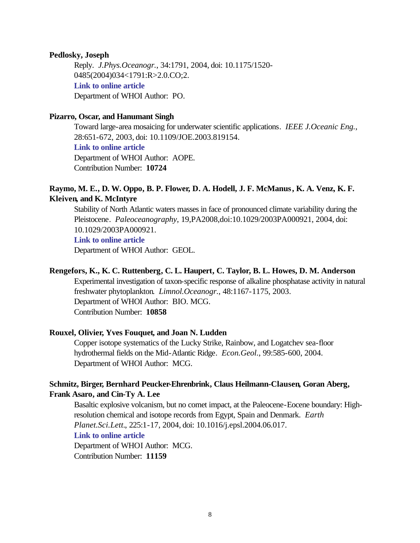#### **Pedlosky, Joseph**

Reply. *J.Phys.Oceanogr.*, 34:1791, 2004, doi: 10.1175/1520- 0485(2004)034<1791:R>2.0.CO;2. **[Link to online article](http://dx.doi.org/10.1175/1520-0485(2004)034<1791:R>2.0.CO;2)** Department of WHOI Author: PO.

## **Pizarro, Oscar, and Hanumant Singh**

Toward large-area mosaicing for underwater scientific applications. *IEEE J.Oceanic Eng.*, 28:651-672, 2003, doi: 10.1109/JOE.2003.819154.

# **[Link to online article](http://dx.doi.org/10.1109/JOE.2003.819154)**

Department of WHOI Author: AOPE. Contribution Number: **10724**

# **Raymo, M. E., D. W. Oppo, B. P. Flower, D. A. Hodell, J. F. McManus, K. A. Venz, K. F. Kleiven, and K. McIntyre**

Stability of North Atlantic waters masses in face of pronounced climate variability during the Pleistocene. *Paleoceanography*, 19,PA2008,doi:10.1029/2003PA000921, 2004, doi: 10.1029/2003PA000921.

### **[Link to online article](http://dx.doi.org/10.1029/2003PA000921)**

Department of WHOI Author: GEOL.

# **Rengefors, K., K. C. Ruttenberg, C. L. Haupert, C. Taylor, B. L. Howes, D. M. Anderson**

Experimental investigation of taxon-specific response of alkaline phosphatase activity in natural freshwater phytoplankton. *Limnol.Oceanogr.*, 48:1167-1175, 2003. Department of WHOI Author: BIO. MCG.

Contribution Number: **10858**

# **Rouxel, Olivier, Yves Fouquet, and Joan N. Ludden**

Copper isotope systematics of the Lucky Strike, Rainbow, and Logatchev sea-floor hydrothermal fields on the Mid-Atlantic Ridge. *Econ.Geol.*, 99:585-600, 2004. Department of WHOI Author: MCG.

# **Schmitz, Birger, Bernhard Peucker-Ehrenbrink, Claus Heilmann-Clausen, Goran Aberg, Frank Asaro, and Cin-Ty A. Lee**

Basaltic explosive volcanism, but no comet impact, at the Paleocene-Eocene boundary: Highresolution chemical and isotope records from Egypt, Spain and Denmark. *Earth Planet.Sci.Lett.*, 225:1-17, 2004, doi: 10.1016/j.epsl.2004.06.017.

#### **[Link to online article](http://dx.doi.org/10.1016/j.epsl.2004.06.017)**

Department of WHOI Author: MCG. Contribution Number: **11159**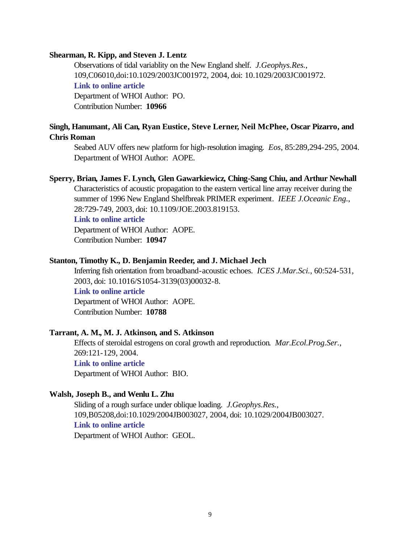## **Shearman, R. Kipp, and Steven J. Lentz**

Observations of tidal variablity on the New England shelf. *J.Geophys.Res.*, 109,C06010,doi:10.1029/2003JC001972, 2004, doi: 10.1029/2003JC001972. **[Link to online article](http://dx.doi.org/10.1029/2003JC001972)** Department of WHOI Author: PO. Contribution Number: **10966**

# **Singh, Hanumant, Ali Can, Ryan Eustice, Steve Lerner, Neil McPhee, Oscar Pizarro, and Chris Roman**

Seabed AUV offers new platform for high-resolution imaging. *Eos*, 85:289,294-295, 2004. Department of WHOI Author: AOPE.

#### **Sperry, Brian, James F. Lynch, Glen Gawarkiewicz, Ching-Sang Chiu, and Arthur Newhall**

Characteristics of acoustic propagation to the eastern vertical line array receiver during the summer of 1996 New England Shelfbreak PRIMER experiment. *IEEE J.Oceanic Eng.*, 28:729-749, 2003, doi: 10.1109/JOE.2003.819153.

#### **[Link to online article](http://dx.doi.org/10.1109/JOE.2003.819153)**

Department of WHOI Author: AOPE. Contribution Number: **10947**

#### **Stanton, Timothy K., D. Benjamin Reeder, and J. Michael Jech**

Inferring fish orientation from broadband-acoustic echoes. *ICES J.Mar.Sci.*, 60:524-531, 2003, doi: 10.1016/S1054-3139(03)00032-8. **[Link to online article](http://dx.doi.org/10.1016/S1054-3139(03)00032-8)**

Department of WHOI Author: AOPE. Contribution Number: **10788**

# **Tarrant, A. M., M. J. Atkinson, and S. Atkinson**

Effects of steroidal estrogens on coral growth and reproduction. *Mar.Ecol.Prog.Ser.*, 269:121-129, 2004. **[Link to online article](http://www.int-res.com/articles/meps2004/269/m269p121.pdf)** Department of WHOI Author: BIO.

# **Walsh, Joseph B., and Wenlu L. Zhu**

Sliding of a rough surface under oblique loading. *J.Geophys.Res.*, 109,B05208,doi:10.1029/2004JB003027, 2004, doi: 10.1029/2004JB003027. **[Link to online article](http://dx.doi.org/10.1029/2004JB003027)** Department of WHOI Author: GEOL.